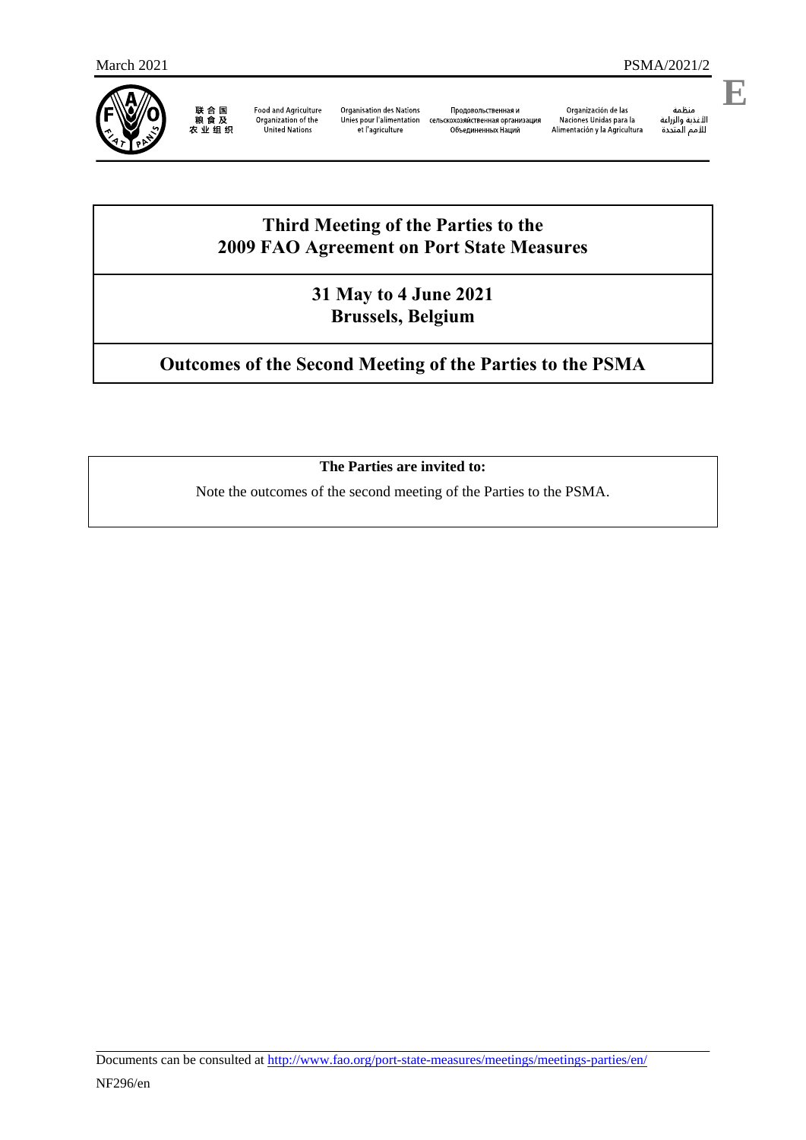

联合国<br>粮食及<br>农业组织

**Food and Agriculture** Organization of the<br>United Nations

**Organisation des Nations** Unies pour l'alimentation сельскохозяйственная организация et l'agriculture

Продовольственная и Объединенных Наций

Organización de las Naciones Unidas para la<br>Alimentación y la Agricultura منطمه<br>الأغذية والزراعة<br>للأمم المتددة

منظمة

**E**

## **Third Meeting of the Parties to the 2009 FAO Agreement on Port State Measures**

**31 May to 4 June 2021 Brussels, Belgium**

# **Outcomes of the Second Meeting of the Parties to the PSMA**

## **The Parties are invited to:**

Note the outcomes of the second meeting of the Parties to the PSMA.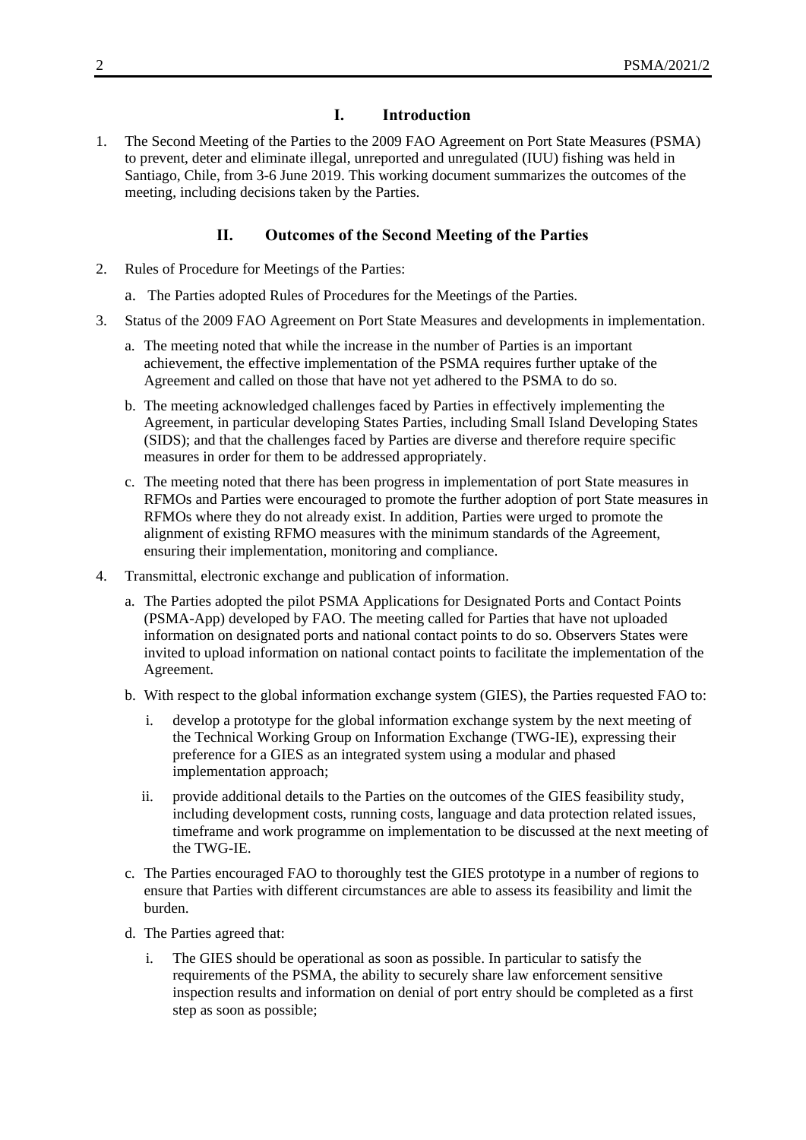#### **I. Introduction**

1. The Second Meeting of the Parties to the 2009 FAO Agreement on Port State Measures (PSMA) to prevent, deter and eliminate illegal, unreported and unregulated (IUU) fishing was held in Santiago, Chile, from 3-6 June 2019. This working document summarizes the outcomes of the meeting, including decisions taken by the Parties.

### **II. Outcomes of the Second Meeting of the Parties**

- 2. Rules of Procedure for Meetings of the Parties:
	- a. The Parties adopted Rules of Procedures for the Meetings of the Parties.
- 3. Status of the 2009 FAO Agreement on Port State Measures and developments in implementation.
	- a. The meeting noted that while the increase in the number of Parties is an important achievement, the effective implementation of the PSMA requires further uptake of the Agreement and called on those that have not yet adhered to the PSMA to do so.
	- b. The meeting acknowledged challenges faced by Parties in effectively implementing the Agreement, in particular developing States Parties, including Small Island Developing States (SIDS); and that the challenges faced by Parties are diverse and therefore require specific measures in order for them to be addressed appropriately.
	- c. The meeting noted that there has been progress in implementation of port State measures in RFMOs and Parties were encouraged to promote the further adoption of port State measures in RFMOs where they do not already exist. In addition, Parties were urged to promote the alignment of existing RFMO measures with the minimum standards of the Agreement, ensuring their implementation, monitoring and compliance.
- 4. Transmittal, electronic exchange and publication of information.
	- a. The Parties adopted the pilot PSMA Applications for Designated Ports and Contact Points (PSMA-App) developed by FAO. The meeting called for Parties that have not uploaded information on designated ports and national contact points to do so. Observers States were invited to upload information on national contact points to facilitate the implementation of the Agreement.
	- b. With respect to the global information exchange system (GIES), the Parties requested FAO to:
		- i. develop a prototype for the global information exchange system by the next meeting of the Technical Working Group on Information Exchange (TWG-IE), expressing their preference for a GIES as an integrated system using a modular and phased implementation approach;
		- ii. provide additional details to the Parties on the outcomes of the GIES feasibility study, including development costs, running costs, language and data protection related issues, timeframe and work programme on implementation to be discussed at the next meeting of the TWG-IE.
	- c. The Parties encouraged FAO to thoroughly test the GIES prototype in a number of regions to ensure that Parties with different circumstances are able to assess its feasibility and limit the burden.
	- d. The Parties agreed that:
		- i. The GIES should be operational as soon as possible. In particular to satisfy the requirements of the PSMA, the ability to securely share law enforcement sensitive inspection results and information on denial of port entry should be completed as a first step as soon as possible;